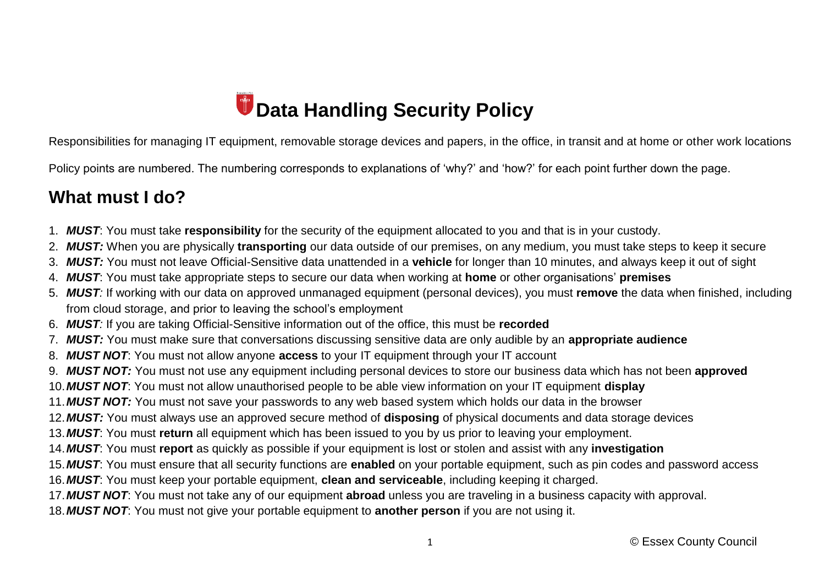# *Data Handling Security Policy*

Responsibilities for managing IT equipment, removable storage devices and papers, in the office, in transit and at home or other work locations

Policy points are numbered. The numbering corresponds to explanations of 'why?' and 'how?' for each point further down the page.

#### **What must I do?**

- 1. *MUST*: You must take **responsibility** for the security of the equipment allocated to you and that is in your custody.
- 2. *MUST:* When you are physically **transporting** our data outside of our premises, on any medium, you must take steps to keep it secure
- 3. *MUST:* You must not leave Official-Sensitive data unattended in a **vehicle** for longer than 10 minutes, and always keep it out of sight
- 4. *MUST*: You must take appropriate steps to secure our data when working at **home** or other organisations' **premises**
- 5. *MUST:* If working with our data on approved unmanaged equipment (personal devices), you must **remove** the data when finished, including from cloud storage, and prior to leaving the school's employment
- 6. *MUST:* If you are taking Official-Sensitive information out of the office, this must be **recorded**
- 7. *MUST:* You must make sure that conversations discussing sensitive data are only audible by an **appropriate audience**
- 8. *MUST NOT*: You must not allow anyone **access** to your IT equipment through your IT account
- 9. *MUST NOT:* You must not use any equipment including personal devices to store our business data which has not been **approved**
- 10.*MUST NOT*: You must not allow unauthorised people to be able view information on your IT equipment **display**
- 11.*MUST NOT:* You must not save your passwords to any web based system which holds our data in the browser
- 12.*MUST:* You must always use an approved secure method of **disposing** of physical documents and data storage devices
- 13.*MUST*: You must **return** all equipment which has been issued to you by us prior to leaving your employment.
- 14.*MUST*: You must **report** as quickly as possible if your equipment is lost or stolen and assist with any **investigation**
- 15.*MUST*: You must ensure that all security functions are **enabled** on your portable equipment, such as pin codes and password access
- 16.*MUST*: You must keep your portable equipment, **clean and serviceable**, including keeping it charged.
- 17.*MUST NOT*: You must not take any of our equipment **abroad** unless you are traveling in a business capacity with approval.
- 18.*MUST NOT*: You must not give your portable equipment to **another person** if you are not using it.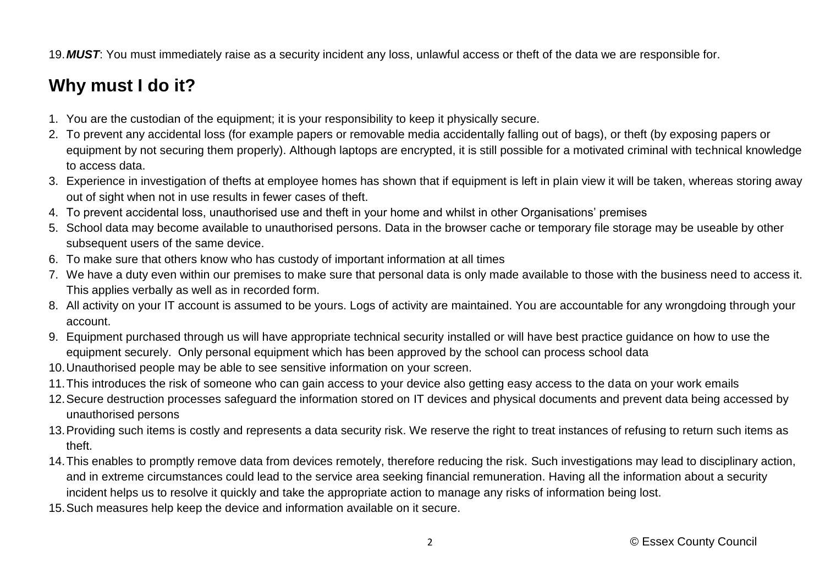19.*MUST*: You must immediately raise as a security incident any loss, unlawful access or theft of the data we are responsible for.

## **Why must I do it?**

- 1. You are the custodian of the equipment; it is your responsibility to keep it physically secure.
- 2. To prevent any accidental loss (for example papers or removable media accidentally falling out of bags), or theft (by exposing papers or equipment by not securing them properly). Although laptops are encrypted, it is still possible for a motivated criminal with technical knowledge to access data.
- 3. Experience in investigation of thefts at employee homes has shown that if equipment is left in plain view it will be taken, whereas storing away out of sight when not in use results in fewer cases of theft.
- 4. To prevent accidental loss, unauthorised use and theft in your home and whilst in other Organisations' premises
- 5. School data may become available to unauthorised persons. Data in the browser cache or temporary file storage may be useable by other subsequent users of the same device.
- 6. To make sure that others know who has custody of important information at all times
- 7. We have a duty even within our premises to make sure that personal data is only made available to those with the business need to access it. This applies verbally as well as in recorded form.
- 8. All activity on your IT account is assumed to be yours. Logs of activity are maintained. You are accountable for any wrongdoing through your account.
- 9. Equipment purchased through us will have appropriate technical security installed or will have best practice guidance on how to use the equipment securely. Only personal equipment which has been approved by the school can process school data
- 10.Unauthorised people may be able to see sensitive information on your screen.
- 11.This introduces the risk of someone who can gain access to your device also getting easy access to the data on your work emails
- 12.Secure destruction processes safeguard the information stored on IT devices and physical documents and prevent data being accessed by unauthorised persons
- 13.Providing such items is costly and represents a data security risk. We reserve the right to treat instances of refusing to return such items as theft.
- 14.This enables to promptly remove data from devices remotely, therefore reducing the risk. Such investigations may lead to disciplinary action, and in extreme circumstances could lead to the service area seeking financial remuneration. Having all the information about a security incident helps us to resolve it quickly and take the appropriate action to manage any risks of information being lost.
- 15.Such measures help keep the device and information available on it secure.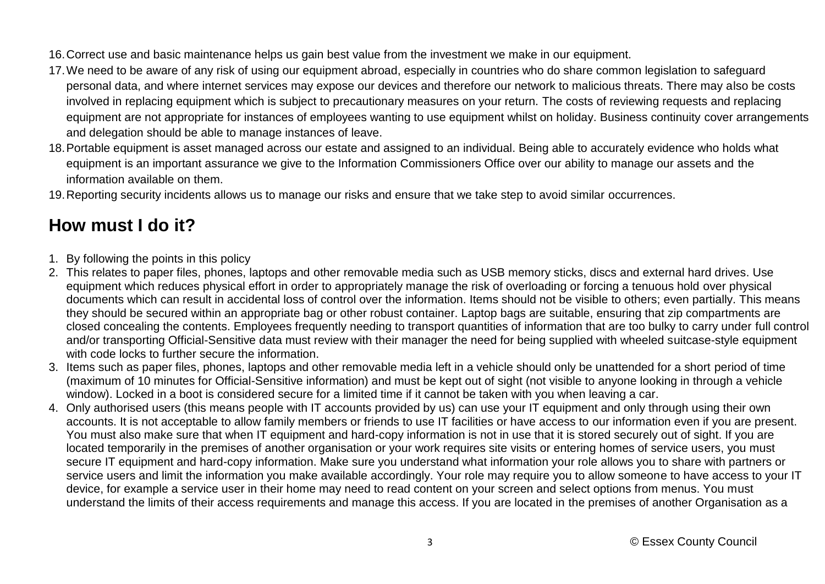16.Correct use and basic maintenance helps us gain best value from the investment we make in our equipment.

- 17.We need to be aware of any risk of using our equipment abroad, especially in countries who do share common legislation to safeguard personal data, and where internet services may expose our devices and therefore our network to malicious threats. There may also be costs involved in replacing equipment which is subject to precautionary measures on your return. The costs of reviewing requests and replacing equipment are not appropriate for instances of employees wanting to use equipment whilst on holiday. Business continuity cover arrangements and delegation should be able to manage instances of leave.
- 18.Portable equipment is asset managed across our estate and assigned to an individual. Being able to accurately evidence who holds what equipment is an important assurance we give to the Information Commissioners Office over our ability to manage our assets and the information available on them.

19.Reporting security incidents allows us to manage our risks and ensure that we take step to avoid similar occurrences.

### **How must I do it?**

- 1. By following the points in this policy
- 2. This relates to paper files, phones, laptops and other removable media such as USB memory sticks, discs and external hard drives. Use equipment which reduces physical effort in order to appropriately manage the risk of overloading or forcing a tenuous hold over physical documents which can result in accidental loss of control over the information. Items should not be visible to others; even partially. This means they should be secured within an appropriate bag or other robust container. Laptop bags are suitable, ensuring that zip compartments are closed concealing the contents. Employees frequently needing to transport quantities of information that are too bulky to carry under full control and/or transporting Official-Sensitive data must review with their manager the need for being supplied with wheeled suitcase-style equipment with code locks to further secure the information.
- 3. Items such as paper files, phones, laptops and other removable media left in a vehicle should only be unattended for a short period of time (maximum of 10 minutes for Official-Sensitive information) and must be kept out of sight (not visible to anyone looking in through a vehicle window). Locked in a boot is considered secure for a limited time if it cannot be taken with you when leaving a car.
- 4. Only authorised users (this means people with IT accounts provided by us) can use your IT equipment and only through using their own accounts. It is not acceptable to allow family members or friends to use IT facilities or have access to our information even if you are present. You must also make sure that when IT equipment and hard-copy information is not in use that it is stored securely out of sight. If you are located temporarily in the premises of another organisation or your work requires site visits or entering homes of service users, you must secure IT equipment and hard-copy information. Make sure you understand what information your role allows you to share with partners or service users and limit the information you make available accordingly. Your role may require you to allow someone to have access to your IT device, for example a service user in their home may need to read content on your screen and select options from menus. You must understand the limits of their access requirements and manage this access. If you are located in the premises of another Organisation as a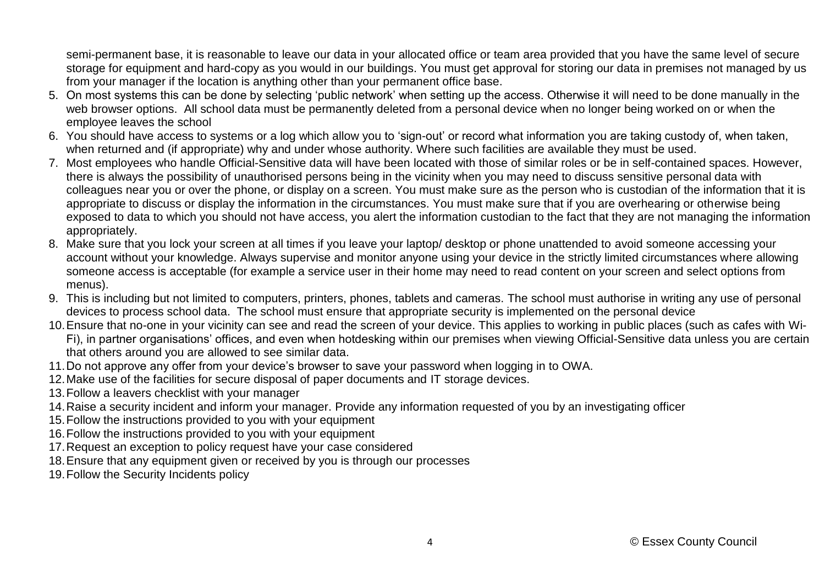semi-permanent base, it is reasonable to leave our data in your allocated office or team area provided that you have the same level of secure storage for equipment and hard-copy as you would in our buildings. You must get approval for storing our data in premises not managed by us from your manager if the location is anything other than your permanent office base.

- 5. On most systems this can be done by selecting 'public network' when setting up the access. Otherwise it will need to be done manually in the web browser options. All school data must be permanently deleted from a personal device when no longer being worked on or when the employee leaves the school
- 6. You should have access to systems or a log which allow you to 'sign-out' or record what information you are taking custody of, when taken, when returned and (if appropriate) why and under whose authority. Where such facilities are available they must be used.
- 7. Most employees who handle Official-Sensitive data will have been located with those of similar roles or be in self-contained spaces. However, there is always the possibility of unauthorised persons being in the vicinity when you may need to discuss sensitive personal data with colleagues near you or over the phone, or display on a screen. You must make sure as the person who is custodian of the information that it is appropriate to discuss or display the information in the circumstances. You must make sure that if you are overhearing or otherwise being exposed to data to which you should not have access, you alert the information custodian to the fact that they are not managing the information appropriately.
- 8. Make sure that you lock your screen at all times if you leave your laptop/ desktop or phone unattended to avoid someone accessing your account without your knowledge. Always supervise and monitor anyone using your device in the strictly limited circumstances where allowing someone access is acceptable (for example a service user in their home may need to read content on your screen and select options from menus).
- 9. This is including but not limited to computers, printers, phones, tablets and cameras. The school must authorise in writing any use of personal devices to process school data. The school must ensure that appropriate security is implemented on the personal device
- 10.Ensure that no-one in your vicinity can see and read the screen of your device. This applies to working in public places (such as cafes with Wi-Fi), in partner organisations' offices, and even when hotdesking within our premises when viewing Official-Sensitive data unless you are certain that others around you are allowed to see similar data.
- 11.Do not approve any offer from your device's browser to save your password when logging in to OWA.
- 12.Make use of the facilities for secure disposal of paper documents and IT storage devices.
- 13.Follow a leavers checklist with your manager
- 14.Raise a security incident and inform your manager. Provide any information requested of you by an investigating officer
- 15.Follow the instructions provided to you with your equipment
- 16.Follow the instructions provided to you with your equipment
- 17.Request an exception to policy request have your case considered
- 18.Ensure that any equipment given or received by you is through our processes
- 19.Follow the Security Incidents policy